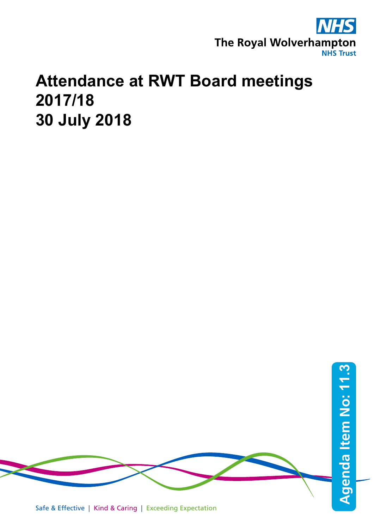

## **Attendance at RWT Board meetings 2017/18 30 July 2018**